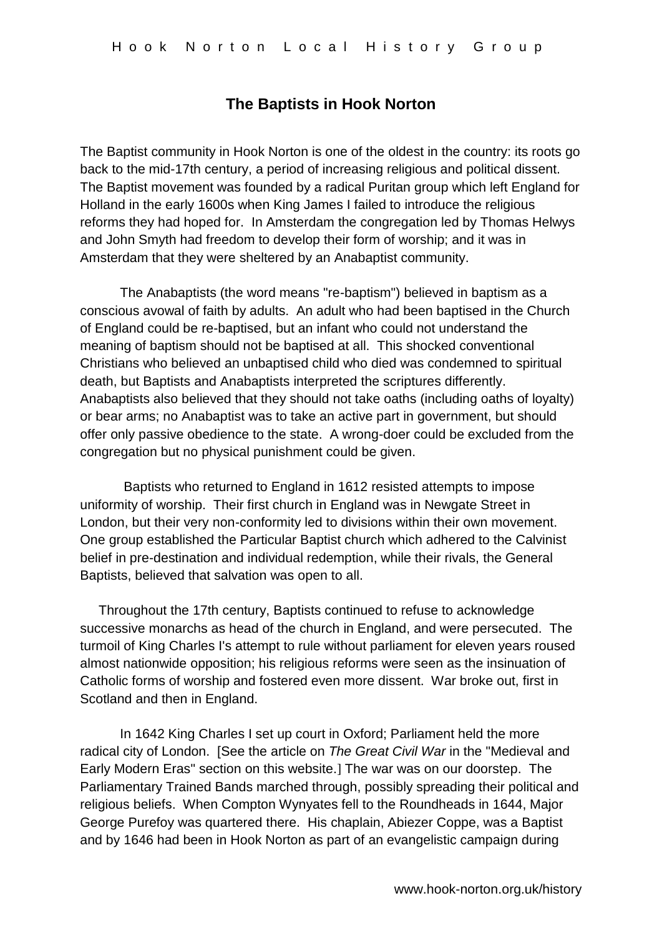## **The Baptists in Hook Norton**

The Baptist community in Hook Norton is one of the oldest in the country: its roots go back to the mid-17th century, a period of increasing religious and political dissent. The Baptist movement was founded by a radical Puritan group which left England for Holland in the early 1600s when King James I failed to introduce the religious reforms they had hoped for. In Amsterdam the congregation led by Thomas Helwys and John Smyth had freedom to develop their form of worship; and it was in Amsterdam that they were sheltered by an Anabaptist community.

The Anabaptists (the word means "re-baptism") believed in baptism as a conscious avowal of faith by adults. An adult who had been baptised in the Church of England could be re-baptised, but an infant who could not understand the meaning of baptism should not be baptised at all. This shocked conventional Christians who believed an unbaptised child who died was condemned to spiritual death, but Baptists and Anabaptists interpreted the scriptures differently. Anabaptists also believed that they should not take oaths (including oaths of loyalty) or bear arms; no Anabaptist was to take an active part in government, but should offer only passive obedience to the state. A wrong-doer could be excluded from the congregation but no physical punishment could be given.

Baptists who returned to England in 1612 resisted attempts to impose uniformity of worship. Their first church in England was in Newgate Street in London, but their very non-conformity led to divisions within their own movement. One group established the Particular Baptist church which adhered to the Calvinist belief in pre-destination and individual redemption, while their rivals, the General Baptists, believed that salvation was open to all.

 Throughout the 17th century, Baptists continued to refuse to acknowledge successive monarchs as head of the church in England, and were persecuted. The turmoil of King Charles I's attempt to rule without parliament for eleven years roused almost nationwide opposition; his religious reforms were seen as the insinuation of Catholic forms of worship and fostered even more dissent. War broke out, first in Scotland and then in England.

In 1642 King Charles I set up court in Oxford; Parliament held the more radical city of London. [See the article on *The Great Civil War* in the "Medieval and Early Modern Eras" section on this website.] The war was on our doorstep. The Parliamentary Trained Bands marched through, possibly spreading their political and religious beliefs. When Compton Wynyates fell to the Roundheads in 1644, Major George Purefoy was quartered there. His chaplain, Abiezer Coppe, was a Baptist and by 1646 had been in Hook Norton as part of an evangelistic campaign during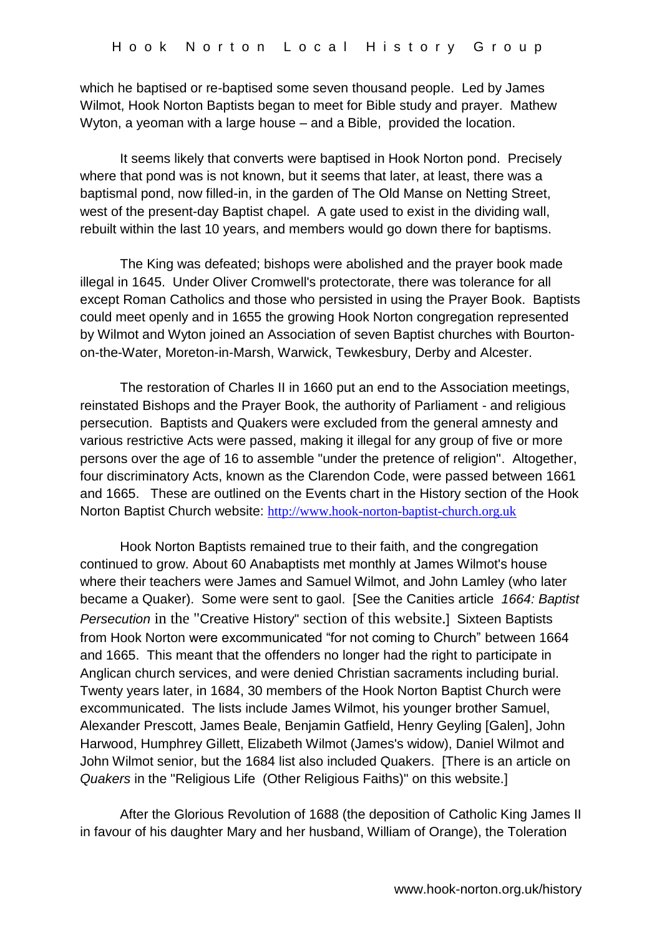which he baptised or re-baptised some seven thousand people. Led by James Wilmot, Hook Norton Baptists began to meet for Bible study and prayer. Mathew Wyton, a yeoman with a large house – and a Bible, provided the location.

It seems likely that converts were baptised in Hook Norton pond. Precisely where that pond was is not known, but it seems that later, at least, there was a baptismal pond, now filled-in, in the garden of The Old Manse on Netting Street, west of the present-day Baptist chapel. A gate used to exist in the dividing wall, rebuilt within the last 10 years, and members would go down there for baptisms.

The King was defeated; bishops were abolished and the prayer book made illegal in 1645. Under Oliver Cromwell's protectorate, there was tolerance for all except Roman Catholics and those who persisted in using the Prayer Book. Baptists could meet openly and in 1655 the growing Hook Norton congregation represented by Wilmot and Wyton joined an Association of seven Baptist churches with Bourtonon-the-Water, Moreton-in-Marsh, Warwick, Tewkesbury, Derby and Alcester.

The restoration of Charles II in 1660 put an end to the Association meetings, reinstated Bishops and the Prayer Book, the authority of Parliament - and religious persecution. Baptists and Quakers were excluded from the general amnesty and various restrictive Acts were passed, making it illegal for any group of five or more persons over the age of 16 to assemble "under the pretence of religion". Altogether, four discriminatory Acts, known as the Clarendon Code, were passed between 1661 and 1665. These are outlined on the Events chart in the History section of the Hook Norton Baptist Church website: [http://www.hook-norton-baptist-church.org.uk](http://www.hook-norton-baptist-church.org.uk/)

Hook Norton Baptists remained true to their faith, and the congregation continued to grow. About 60 Anabaptists met monthly at James Wilmot's house where their teachers were James and Samuel Wilmot, and John Lamley (who later became a Quaker). Some were sent to gaol. [See the Canities article *1664: Baptist Persecution* in the "Creative History" section of this website.] Sixteen Baptists from Hook Norton were excommunicated "for not coming to Church" between 1664 and 1665. This meant that the offenders no longer had the right to participate in Anglican church services, and were denied Christian sacraments including burial. Twenty years later, in 1684, 30 members of the Hook Norton Baptist Church were excommunicated. The lists include James Wilmot, his younger brother Samuel, Alexander Prescott, James Beale, Benjamin Gatfield, Henry Geyling [Galen], John Harwood, Humphrey Gillett, Elizabeth Wilmot (James's widow), Daniel Wilmot and John Wilmot senior, but the 1684 list also included Quakers. [There is an article on *Quakers* in the "Religious Life (Other Religious Faiths)" on this website.]

After the Glorious Revolution of 1688 (the deposition of Catholic King James II in favour of his daughter Mary and her husband, William of Orange), the Toleration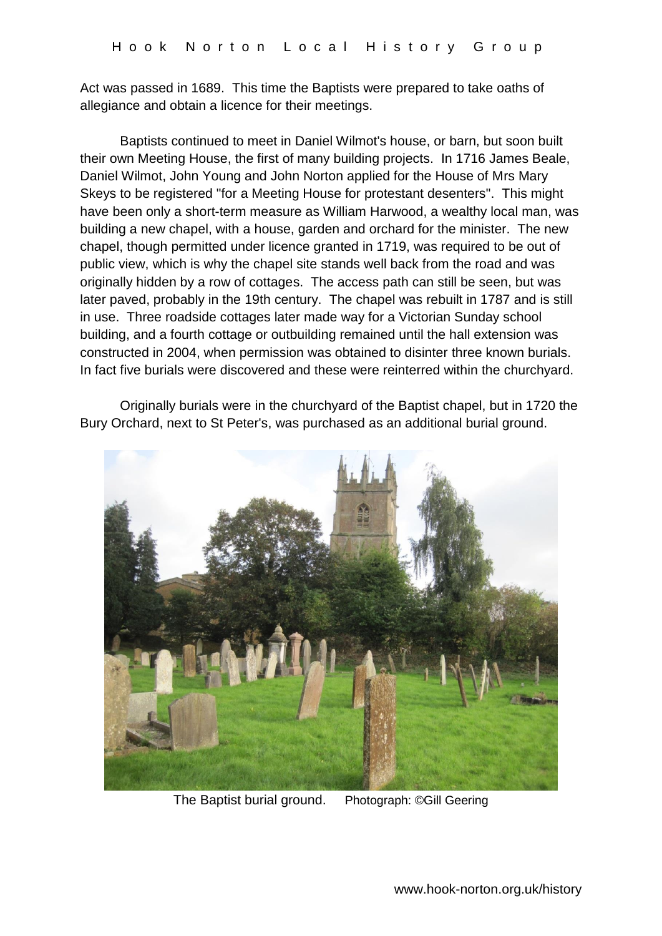Act was passed in 1689. This time the Baptists were prepared to take oaths of allegiance and obtain a licence for their meetings.

Baptists continued to meet in Daniel Wilmot's house, or barn, but soon built their own Meeting House, the first of many building projects. In 1716 James Beale, Daniel Wilmot, John Young and John Norton applied for the House of Mrs Mary Skeys to be registered "for a Meeting House for protestant desenters". This might have been only a short-term measure as William Harwood, a wealthy local man, was building a new chapel, with a house, garden and orchard for the minister. The new chapel, though permitted under licence granted in 1719, was required to be out of public view, which is why the chapel site stands well back from the road and was originally hidden by a row of cottages. The access path can still be seen, but was later paved, probably in the 19th century. The chapel was rebuilt in 1787 and is still in use. Three roadside cottages later made way for a Victorian Sunday school building, and a fourth cottage or outbuilding remained until the hall extension was constructed in 2004, when permission was obtained to disinter three known burials. In fact five burials were discovered and these were reinterred within the churchyard.

Originally burials were in the churchyard of the Baptist chapel, but in 1720 the Bury Orchard, next to St Peter's, was purchased as an additional burial ground.



The Baptist burial ground. Photograph: ©Gill Geering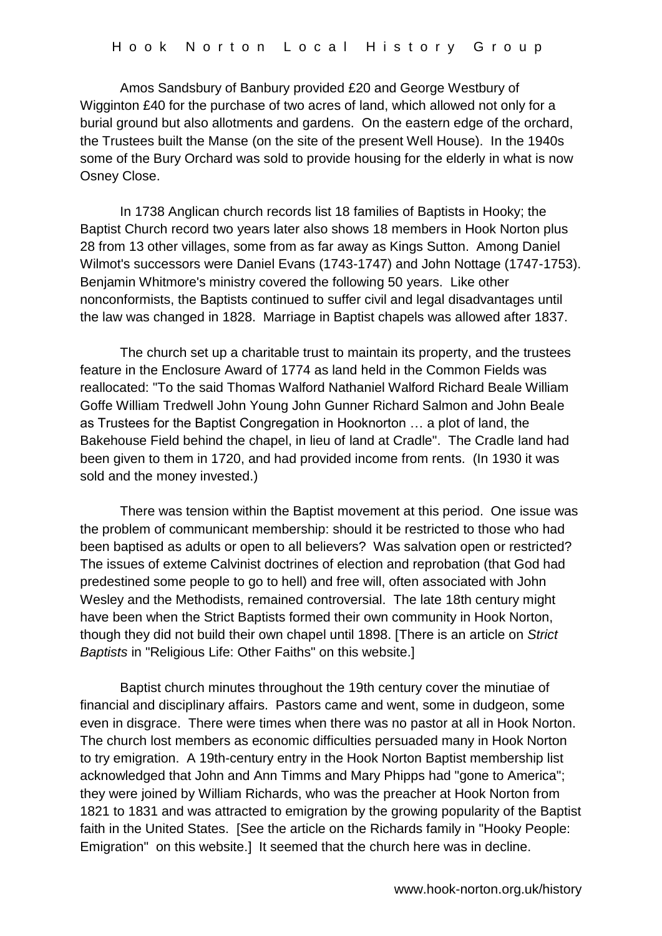Amos Sandsbury of Banbury provided £20 and George Westbury of Wigginton £40 for the purchase of two acres of land, which allowed not only for a burial ground but also allotments and gardens. On the eastern edge of the orchard, the Trustees built the Manse (on the site of the present Well House). In the 1940s some of the Bury Orchard was sold to provide housing for the elderly in what is now Osney Close.

In 1738 Anglican church records list 18 families of Baptists in Hooky; the Baptist Church record two years later also shows 18 members in Hook Norton plus 28 from 13 other villages, some from as far away as Kings Sutton. Among Daniel Wilmot's successors were Daniel Evans (1743-1747) and John Nottage (1747-1753). Benjamin Whitmore's ministry covered the following 50 years. Like other nonconformists, the Baptists continued to suffer civil and legal disadvantages until the law was changed in 1828. Marriage in Baptist chapels was allowed after 1837.

The church set up a charitable trust to maintain its property, and the trustees feature in the Enclosure Award of 1774 as land held in the Common Fields was reallocated: "To the said Thomas Walford Nathaniel Walford Richard Beale William Goffe William Tredwell John Young John Gunner Richard Salmon and John Beale as Trustees for the Baptist Congregation in Hooknorton … a plot of land, the Bakehouse Field behind the chapel, in lieu of land at Cradle". The Cradle land had been given to them in 1720, and had provided income from rents. (In 1930 it was sold and the money invested.)

There was tension within the Baptist movement at this period. One issue was the problem of communicant membership: should it be restricted to those who had been baptised as adults or open to all believers? Was salvation open or restricted? The issues of exteme Calvinist doctrines of election and reprobation (that God had predestined some people to go to hell) and free will, often associated with John Wesley and the Methodists, remained controversial. The late 18th century might have been when the Strict Baptists formed their own community in Hook Norton, though they did not build their own chapel until 1898. [There is an article on *Strict Baptists* in "Religious Life: Other Faiths" on this website.]

Baptist church minutes throughout the 19th century cover the minutiae of financial and disciplinary affairs. Pastors came and went, some in dudgeon, some even in disgrace. There were times when there was no pastor at all in Hook Norton. The church lost members as economic difficulties persuaded many in Hook Norton to try emigration. A 19th-century entry in the Hook Norton Baptist membership list acknowledged that John and Ann Timms and Mary Phipps had "gone to America"; they were joined by William Richards, who was the preacher at Hook Norton from 1821 to 1831 and was attracted to emigration by the growing popularity of the Baptist faith in the United States. [See the article on the Richards family in "Hooky People: Emigration" on this website.] It seemed that the church here was in decline.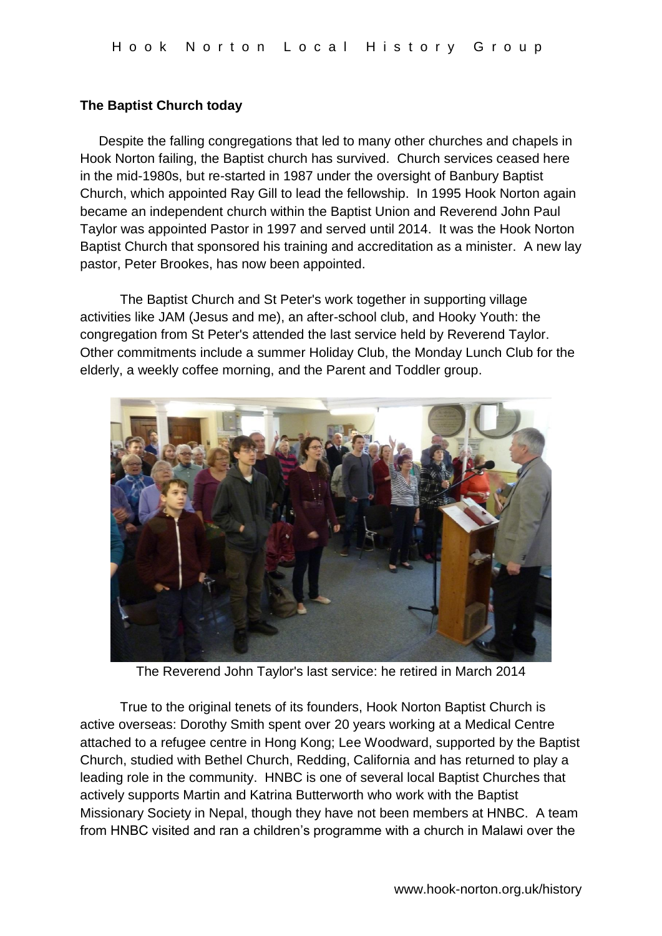## **The Baptist Church today**

 Despite the falling congregations that led to many other churches and chapels in Hook Norton failing, the Baptist church has survived. Church services ceased here in the mid-1980s, but re-started in 1987 under the oversight of Banbury Baptist Church, which appointed Ray Gill to lead the fellowship. In 1995 Hook Norton again became an independent church within the Baptist Union and Reverend John Paul Taylor was appointed Pastor in 1997 and served until 2014. It was the Hook Norton Baptist Church that sponsored his training and accreditation as a minister. A new lay pastor, Peter Brookes, has now been appointed.

The Baptist Church and St Peter's work together in supporting village activities like JAM (Jesus and me), an after-school club, and Hooky Youth: the congregation from St Peter's attended the last service held by Reverend Taylor. Other commitments include a summer Holiday Club, the Monday Lunch Club for the elderly, a weekly coffee morning, and the Parent and Toddler group.



The Reverend John Taylor's last service: he retired in March 2014

True to the original tenets of its founders, Hook Norton Baptist Church is active overseas: Dorothy Smith spent over 20 years working at a Medical Centre attached to a refugee centre in Hong Kong; Lee Woodward, supported by the Baptist Church, studied with Bethel Church, Redding, California and has returned to play a leading role in the community. HNBC is one of several local Baptist Churches that actively supports Martin and Katrina Butterworth who work with the Baptist Missionary Society in Nepal, though they have not been members at HNBC. A team from HNBC visited and ran a children's programme with a church in Malawi over the